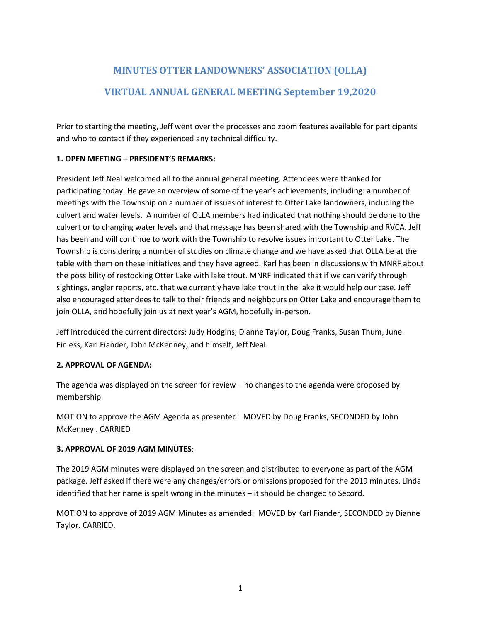# **MINUTES OTTER LANDOWNERS' ASSOCIATION (OLLA) VIRTUAL ANNUAL GENERAL MEETING September 19,2020**

Prior to starting the meeting, Jeff went over the processes and zoom features available for participants and who to contact if they experienced any technical difficulty.

# **1. OPEN MEETING – PRESIDENT'S REMARKS:**

President Jeff Neal welcomed all to the annual general meeting. Attendees were thanked for participating today. He gave an overview of some of the year's achievements, including: a number of meetings with the Township on a number of issues of interest to Otter Lake landowners, including the culvert and water levels. A number of OLLA members had indicated that nothing should be done to the culvert or to changing water levels and that message has been shared with the Township and RVCA. Jeff has been and will continue to work with the Township to resolve issues important to Otter Lake. The Township is considering a number of studies on climate change and we have asked that OLLA be at the table with them on these initiatives and they have agreed. Karl has been in discussions with MNRF about the possibility of restocking Otter Lake with lake trout. MNRF indicated that if we can verify through sightings, angler reports, etc. that we currently have lake trout in the lake it would help our case. Jeff also encouraged attendees to talk to their friends and neighbours on Otter Lake and encourage them to join OLLA, and hopefully join us at next year's AGM, hopefully in-person.

Jeff introduced the current directors: Judy Hodgins, Dianne Taylor, Doug Franks, Susan Thum, June Finless, Karl Fiander, John McKenney, and himself, Jeff Neal.

# **2. APPROVAL OF AGENDA:**

The agenda was displayed on the screen for review – no changes to the agenda were proposed by membership.

MOTION to approve the AGM Agenda as presented: MOVED by Doug Franks, SECONDED by John McKenney . CARRIED

# **3. APPROVAL OF 2019 AGM MINUTES**:

The 2019 AGM minutes were displayed on the screen and distributed to everyone as part of the AGM package. Jeff asked if there were any changes/errors or omissions proposed for the 2019 minutes. Linda identified that her name is spelt wrong in the minutes – it should be changed to Secord.

MOTION to approve of 2019 AGM Minutes as amended: MOVED by Karl Fiander, SECONDED by Dianne Taylor. CARRIED.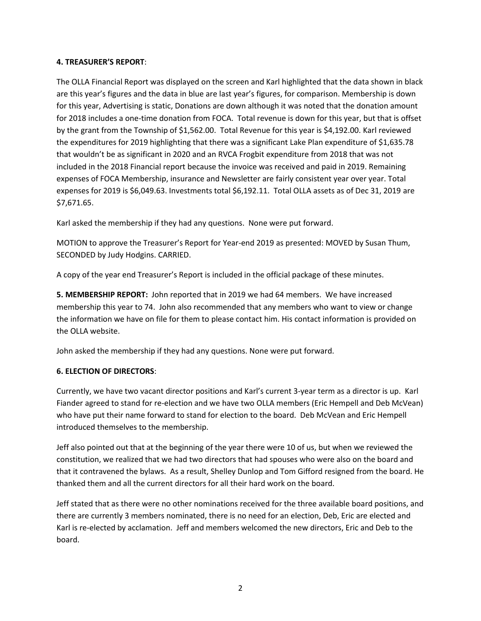## **4. TREASURER'S REPORT**:

The OLLA Financial Report was displayed on the screen and Karl highlighted that the data shown in black are this year's figures and the data in blue are last year's figures, for comparison. Membership is down for this year, Advertising is static, Donations are down although it was noted that the donation amount for 2018 includes a one-time donation from FOCA. Total revenue is down for this year, but that is offset by the grant from the Township of \$1,562.00. Total Revenue for this year is \$4,192.00. Karl reviewed the expenditures for 2019 highlighting that there was a significant Lake Plan expenditure of \$1,635.78 that wouldn't be as significant in 2020 and an RVCA Frogbit expenditure from 2018 that was not included in the 2018 Financial report because the invoice was received and paid in 2019. Remaining expenses of FOCA Membership, insurance and Newsletter are fairly consistent year over year. Total expenses for 2019 is \$6,049.63. Investments total \$6,192.11. Total OLLA assets as of Dec 31, 2019 are \$7,671.65.

Karl asked the membership if they had any questions. None were put forward.

MOTION to approve the Treasurer's Report for Year-end 2019 as presented: MOVED by Susan Thum, SECONDED by Judy Hodgins. CARRIED.

A copy of the year end Treasurer's Report is included in the official package of these minutes.

**5. MEMBERSHIP REPORT:** John reported that in 2019 we had 64 members. We have increased membership this year to 74. John also recommended that any members who want to view or change the information we have on file for them to please contact him. His contact information is provided on the OLLA website.

John asked the membership if they had any questions. None were put forward.

# **6. ELECTION OF DIRECTORS**:

Currently, we have two vacant director positions and Karl's current 3-year term as a director is up. Karl Fiander agreed to stand for re-election and we have two OLLA members (Eric Hempell and Deb McVean) who have put their name forward to stand for election to the board. Deb McVean and Eric Hempell introduced themselves to the membership.

Jeff also pointed out that at the beginning of the year there were 10 of us, but when we reviewed the constitution, we realized that we had two directors that had spouses who were also on the board and that it contravened the bylaws. As a result, Shelley Dunlop and Tom Gifford resigned from the board. He thanked them and all the current directors for all their hard work on the board.

Jeff stated that as there were no other nominations received for the three available board positions, and there are currently 3 members nominated, there is no need for an election, Deb, Eric are elected and Karl is re-elected by acclamation. Jeff and members welcomed the new directors, Eric and Deb to the board.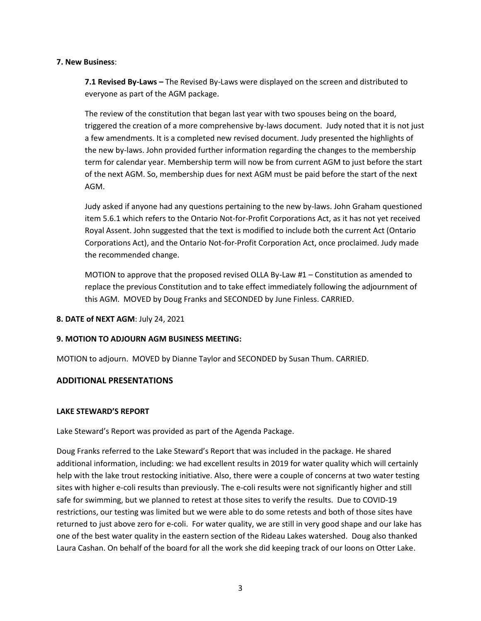#### **7. New Business**:

**7.1 Revised By-Laws –** The Revised By-Laws were displayed on the screen and distributed to everyone as part of the AGM package.

The review of the constitution that began last year with two spouses being on the board, triggered the creation of a more comprehensive by-laws document. Judy noted that it is not just a few amendments. It is a completed new revised document. Judy presented the highlights of the new by-laws. John provided further information regarding the changes to the membership term for calendar year. Membership term will now be from current AGM to just before the start of the next AGM. So, membership dues for next AGM must be paid before the start of the next AGM.

Judy asked if anyone had any questions pertaining to the new by-laws. John Graham questioned item 5.6.1 which refers to the Ontario Not-for-Profit Corporations Act, as it has not yet received Royal Assent. John suggested that the text is modified to include both the current Act (Ontario Corporations Act), and the Ontario Not-for-Profit Corporation Act, once proclaimed. Judy made the recommended change.

MOTION to approve that the proposed revised OLLA By-Law #1 – Constitution as amended to replace the previous Constitution and to take effect immediately following the adjournment of this AGM. MOVED by Doug Franks and SECONDED by June Finless. CARRIED.

## **8. DATE of NEXT AGM**: July 24, 2021

## **9. MOTION TO ADJOURN AGM BUSINESS MEETING:**

MOTION to adjourn. MOVED by Dianne Taylor and SECONDED by Susan Thum. CARRIED.

## **ADDITIONAL PRESENTATIONS**

## **LAKE STEWARD'S REPORT**

Lake Steward's Report was provided as part of the Agenda Package.

Doug Franks referred to the Lake Steward's Report that was included in the package. He shared additional information, including: we had excellent results in 2019 for water quality which will certainly help with the lake trout restocking initiative. Also, there were a couple of concerns at two water testing sites with higher e-coli results than previously. The e-coli results were not significantly higher and still safe for swimming, but we planned to retest at those sites to verify the results. Due to COVID-19 restrictions, our testing was limited but we were able to do some retests and both of those sites have returned to just above zero for e-coli. For water quality, we are still in very good shape and our lake has one of the best water quality in the eastern section of the Rideau Lakes watershed. Doug also thanked Laura Cashan. On behalf of the board for all the work she did keeping track of our loons on Otter Lake.